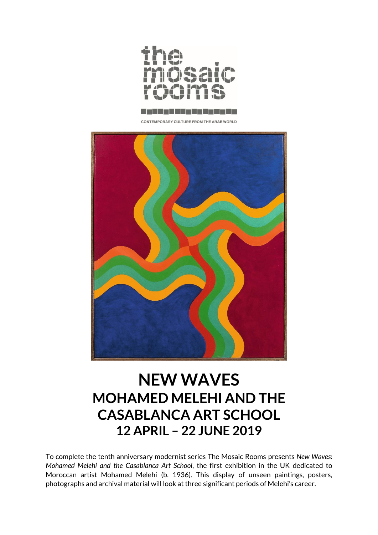



CONTEMPORARY CULTURE FROM THE ARAB WORLD



# **NEW WAVES MOHAMED MELEHI AND THE CASABLANCA ART SCHOOL 12 APRIL – 22 JUNE 2019**

To complete the tenth anniversary modernist series The Mosaic Rooms presents *New Waves: Mohamed Melehi and the Casablanca Art School*, the first exhibition in the UK dedicated to Moroccan artist Mohamed Melehi (b. 1936)*.* This display of unseen paintings, posters, photographs and archival material will look at three significant periods of Melehi's career.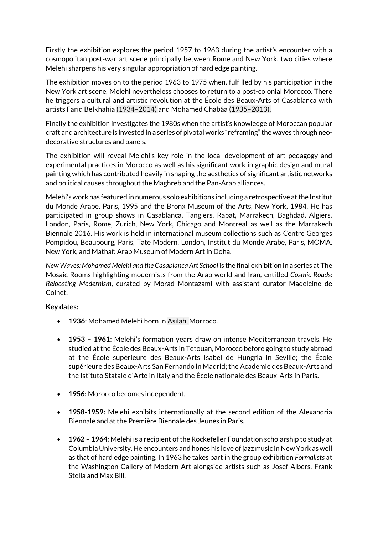Firstly the exhibition explores the period 1957 to 1963 during the artist's encounter with a cosmopolitan post-war art scene principally between Rome and New York, two cities where Melehi sharpens his very singular appropriation of hard edge painting.

The exhibition moves on to the period 1963 to 1975 when, fulfilled by his participation in the New York art scene, Melehi nevertheless chooses to return to a post-colonial Morocco. There he triggers a cultural and artistic revolution at the École des Beaux-Arts of Casablanca with artists Farid Belkhahia (1934–2014) and Mohamed Chabâa (1935–2013).

Finally the exhibition investigates the 1980s when the artist's knowledge of Moroccan popular craft and architecture is invested in a series of pivotal works "reframing" the waves through neodecorative structures and panels.

The exhibition will reveal Melehi's key role in the local development of art pedagogy and experimental practices in Morocco as well as his significant work in graphic design and mural painting which has contributed heavily in shaping the aesthetics of significant artistic networks and political causes throughout the Maghreb and the Pan-Arab alliances.

Melehi's work has featured in numerous solo exhibitions including a retrospective at the Institut du Monde Arabe, Paris, 1995 and the Bronx Museum of the Arts, New York, 1984. He has participated in group shows in Casablanca, Tangiers, Rabat, Marrakech, Baghdad, Algiers, London, Paris, Rome, Zurich, New York, Chicago and Montreal as well as the Marrakech Biennale 2016. His work is held in international museum collections such as Centre Georges Pompidou, Beaubourg, Paris, Tate Modern, London, Institut du Monde Arabe, Paris, MOMA, New York, and Mathaf: Arab Museum of Modern Art in Doha.

*New Waves: Mohamed Melehi and the Casablanca Art School* is the final exhibition in a series at The Mosaic Rooms highlighting modernists from the Arab world and Iran, entitled *Cosmic Roads: Relocating Modernism*, curated by Morad Montazami with assistant curator Madeleine de Colnet.

# **Key dates:**

- **1936**: Mohamed Melehi born in Asilah, Morroco.
- **1953 – 1961**: Melehi's formation years draw on intense Mediterranean travels. He studied at the École des Beaux-Arts in Tetouan, Morocco before going to study abroad at the École supérieure des Beaux-Arts Isabel de Hungria in Seville; the École supérieure des Beaux-Arts San Fernando in Madrid; the Academie des Beaux-Arts and the Istituto Statale d'Arte in Italy and the École nationale des Beaux-Arts in Paris.
- **1956:** Morocco becomes independent.
- **1958-1959:** Melehi exhibits internationally at the second edition of the Alexandria Biennale and at the Première Biennale des Jeunes in Paris.
- **1962 – 1964**: Melehi is a recipient of the Rockefeller Foundation scholarship to study at Columbia University. He encounters and hones his love of jazz music in New York as well as that of hard edge painting. In 1963 he takes part in the group exhibition *Formalists* at the Washington Gallery of Modern Art alongside artists such as Josef Albers, Frank Stella and Max Bill.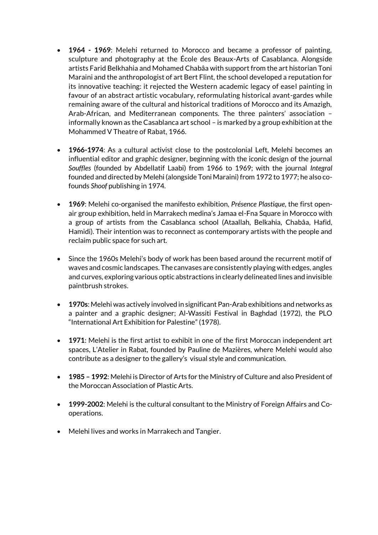- **1964 - 1969**: Melehi returned to Morocco and became a professor of painting, sculpture and photography at the École des Beaux-Arts of Casablanca. Alongside artists Farid Belkhahia and Mohamed Chabâa with support from the art historian Toni Maraini and the anthropologist of art Bert Flint, the school developed a reputation for its innovative teaching: it rejected the Western academic legacy of easel painting in favour of an abstract artistic vocabulary, reformulating historical avant-gardes while remaining aware of the cultural and historical traditions of Morocco and its Amazigh, Arab-African, and Mediterranean components. The three painters' association – informally known as the Casablanca art school – is marked by a group exhibition at the Mohammed V Theatre of Rabat, 1966.
- **1966-1974**: As a cultural activist close to the postcolonial Left, Melehi becomes an influential editor and graphic designer, beginning with the iconic design of the journal *Souffles* (founded by Abdellatif Laabi) from 1966 to 1969; with the journal *Integral* founded and directed by Melehi (alongside Toni Maraini) from 1972 to 1977; he also cofounds *Shoof* publishing in 1974.
- **1969**: Melehi co-organised the manifesto exhibition, *Présence Plastique*, the first openair group exhibition, held in Marrakech medina's Jamaa el-Fna Square in Morocco with a group of artists from the Casablanca school (Ataallah, Belkahia, Chabâa, Hafid, Hamidi). Their intention was to reconnect as contemporary artists with the people and reclaim public space for such art.
- Since the 1960s Melehi's body of work has been based around the recurrent motif of waves and cosmic landscapes. The canvases are consistently playing with edges, angles and curves, exploring various optic abstractions in clearly delineated lines and invisible paintbrush strokes.
- **1970s**: Melehi was actively involved in significant Pan-Arab exhibitions and networks as a painter and a graphic designer; Al-Wassiti Festival in Baghdad (1972), the PLO "International Art Exhibition for Palestine" (1978).
- **1971**: Melehi is the first artist to exhibit in one of the first Moroccan independent art spaces, L'Atelier in Rabat, founded by Pauline de Mazières, where Melehi would also contribute as a designer to the gallery's visual style and communication.
- **1985 – 1992**: Melehi is Director of Arts for the Ministry of Culture and also President of the Moroccan Association of Plastic Arts.
- **1999-2002**: Melehi is the cultural consultant to the Ministry of Foreign Affairs and Cooperations.
- Melehi lives and works in Marrakech and Tangier.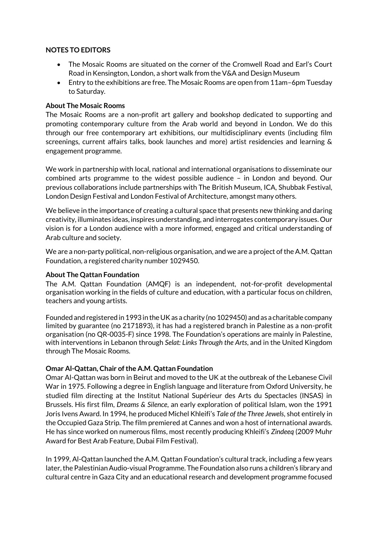## **NOTES TO EDITORS**

- The Mosaic Rooms are situated on the corner of the Cromwell Road and Earl's Court Road in Kensington, London, a short walk from the V&A and Design Museum
- Entry to the exhibitions are free. The Mosaic Rooms are open from 11am–6pm Tuesday to Saturday.

## **About The Mosaic Rooms**

The Mosaic Rooms are a non-profit art gallery and bookshop dedicated to supporting and promoting contemporary culture from the Arab world and beyond in London. We do this through our free contemporary art exhibitions, our multidisciplinary events (including film screenings, current affairs talks, book launches and more) artist residencies and learning & engagement programme.

We work in partnership with local, national and international organisations to disseminate our combined arts programme to the widest possible audience – in London and beyond. Our previous collaborations include partnerships with The British Museum, ICA, Shubbak Festival, London Design Festival and London Festival of Architecture, amongst many others.

We believe in the importance of creating a cultural space that presents new thinking and daring creativity, illuminates ideas, inspires understanding, and interrogates contemporary issues. Our vision is for a London audience with a more informed, engaged and critical understanding of Arab culture and society.

We are a non-party political, non-religious organisation, and we are a project of the A.M. Qattan Foundation, a registered charity number 1029450.

# **About The Qattan Foundation**

The A.M. Qattan Foundation (AMQF) is an independent, not-for-profit developmental organisation working in the fields of culture and education, with a particular focus on children, teachers and young artists.

Founded and registered in 1993 in the UK as a charity (no 1029450) and as a charitable company limited by guarantee (no 2171893), it has had a registered branch in Palestine as a non-profit organisation (no QR-0035-F) since 1998. The Foundation's operations are mainly in Palestine, with interventions in Lebanon through *Selat: Links Through the Arts*, and in the United Kingdom through The Mosaic Rooms.

#### **Omar Al-Qattan, Chair of the A.M. Qattan Foundation**

Omar Al-Qattan was born in Beirut and moved to the UK at the outbreak of the Lebanese Civil War in 1975. Following a degree in English language and literature from Oxford University, he studied film directing at the Institut National Supérieur des Arts du Spectacles (INSAS) in Brussels. His first film, *Dreams & Silence*, an early exploration of political Islam, won the 1991 Joris Ivens Award. In 1994, he produced Michel Khleifi's *Tale of the Three Jewels*, shot entirely in the Occupied Gaza Strip. The film premiered at Cannes and won a host of international awards. He has since worked on numerous films, most recently producing Khleifi's *Zindeeq* (2009 Muhr Award for Best Arab Feature, Dubai Film Festival).

In 1999, Al-Qattan launched the A.M. Qattan Foundation's cultural track, including a few years later, the Palestinian Audio-visual Programme. The Foundation also runs a children's library and cultural centre in Gaza City and an educational research and development programme focused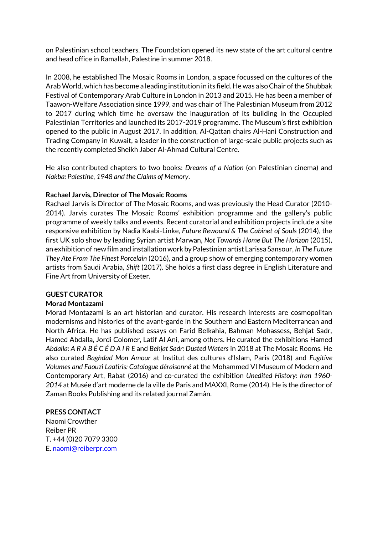on Palestinian school teachers. The Foundation opened its new state of the art cultural centre and head office in Ramallah, Palestine in summer 2018.

In 2008, he established The Mosaic Rooms in London, a space focussed on the cultures of the Arab World, which has become a leading institution in its field. He was also Chair of the Shubbak Festival of Contemporary Arab Culture in London in 2013 and 2015. He has been a member of Taawon-Welfare Association since 1999, and was chair of The Palestinian Museum from 2012 to 2017 during which time he oversaw the inauguration of its building in the Occupied Palestinian Territories and launched its 2017-2019 programme. The Museum's first exhibition opened to the public in August 2017. In addition, Al-Qattan chairs Al-Hani Construction and Trading Company in Kuwait, a leader in the construction of large-scale public projects such as the recently completed Sheikh Jaber Al-Ahmad Cultural Centre.

He also contributed chapters to two books: *Dreams of a Nation* (on Palestinian cinema) and *Nakba: Palestine, 1948 and the Claims of Memory*.

#### **Rachael Jarvis, Director of The Mosaic Rooms**

Rachael Jarvis is Director of The Mosaic Rooms, and was previously the Head Curator (2010- 2014). Jarvis curates The Mosaic Rooms' exhibition programme and the gallery's public programme of weekly talks and events. Recent curatorial and exhibition projects include a site responsive exhibition by Nadia Kaabi-Linke, *Future Rewound & The Cabinet of Souls* (2014), the first UK solo show by leading Syrian artist Marwan, *Not Towards Home But The Horizon* (2015), an exhibition of new film and installation work by Palestinian artist Larissa Sansour, *In The Future They Ate From The Finest Porcelain* (2016), and a group show of emerging contemporary women artists from Saudi Arabia, *Shift* (2017). She holds a first class degree in English Literature and Fine Art from University of Exeter.

# **GUEST CURATOR**

#### **Morad Montazami**

Morad Montazami is an art historian and curator. His research interests are cosmopolitan modernisms and histories of the avant-garde in the Southern and Eastern Mediterranean and North Africa. He has published essays on Farid Belkahia, Bahman Mohassess, Behjat Sadr, Hamed Abdalla, Jordi Colomer, Latif Al Ani, among others. He curated the exhibitions Hamed *Abdalla: A R A B É C É D A I R E* and *Behjat Sadr: Dusted Waters* in 2018 at The Mosaic Rooms. He also curated *Baghdad Mon Amour* at Institut des cultures d'Islam, Paris (2018) and *Fugitive Volumes and Faouzi Laatiris: Catalogue déraisonné* at the Mohammed VI Museum of Modern and Contemporary Art, Rabat (2016) and co-curated the exhibition *Unedited History: Iran 1960- 2014* at Musée d'art moderne de la ville de Paris and MAXXI, Rome (2014). He is the director of Zaman Books Publishing and its related journal Zamân.

# **PRESS CONTACT**

Naomi Crowther Reiber PR T. +44 (0)20 7079 3300 E. [naomi@reiberpr.com](mailto:naomi@reiberpr.com)